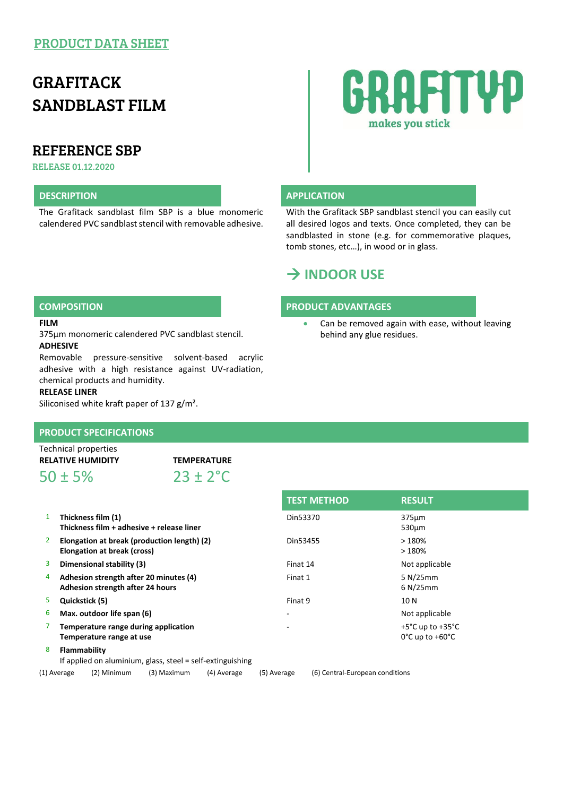### PRODUCT DATA SHEET

# GRAFITACK SANDBLAST FILM

## REFERENCE SBP

RELEASE 01.12.2020

#### **DESCRIPTION APPLICATION**

The Grafitack sandblast film SBP is a blue monomeric calendered PVC sandblast stencil with removable adhesive.



With the Grafitack SBP sandblast stencil you can easily cut all desired logos and texts. Once completed, they can be sandblasted in stone (e.g. for commemorative plaques, tomb stones, etc…), in wood or in glass.

Can be removed again with ease, without leaving

## **INDOOR USE**

#### **COMPOSITION PRODUCT ADVANTAGES**

behind any glue residues.

**FILM**

375µm monomeric calendered PVC sandblast stencil. **ADHESIVE**

Removable pressure-sensitive solvent-based acrylic adhesive with a high resistance against UV-radiation, chemical products and humidity.

#### **RELEASE LINER**

Siliconised white kraft paper of 137 g/m².

#### **PRODUCT SPECIFICATIONS**

Technical properties **RELATIVE HUMIDITY TEMPERATURE**

 $50 \pm 5\%$  23 + 2<sup>°</sup>C

|    |                                                                            | <b>TEST METHOD</b>       | <b>RESULT</b>                                                                |
|----|----------------------------------------------------------------------------|--------------------------|------------------------------------------------------------------------------|
| 1  | Thickness film (1)<br>Thickness film + adhesive + release liner            | Din53370                 | 375um<br>$530 \mu m$                                                         |
| 2  | Elongation at break (production length) (2)<br>Elongation at break (cross) | Din53455                 | >180%<br>>180%                                                               |
| 3  | Dimensional stability (3)                                                  | Finat 14                 | Not applicable                                                               |
| 4  | Adhesion strength after 20 minutes (4)<br>Adhesion strength after 24 hours | Finat 1                  | 5 N/25 mm<br>6 N/25 mm                                                       |
| 5. | Quickstick (5)                                                             | Finat 9                  | 10 N                                                                         |
| 6  | Max. outdoor life span (6)                                                 | ٠                        | Not applicable                                                               |
| 7  | Temperature range during application<br>Temperature range at use           | $\overline{\phantom{0}}$ | $+5^{\circ}$ C up to $+35^{\circ}$ C<br>$0^{\circ}$ C up to +60 $^{\circ}$ C |
|    |                                                                            |                          |                                                                              |

8 **Flammability**

If applied on aluminium, glass, steel = self-extinguishing

(1) Average (2) Minimum (3) Maximum (4) Average (5) Average (6) Central-European conditions